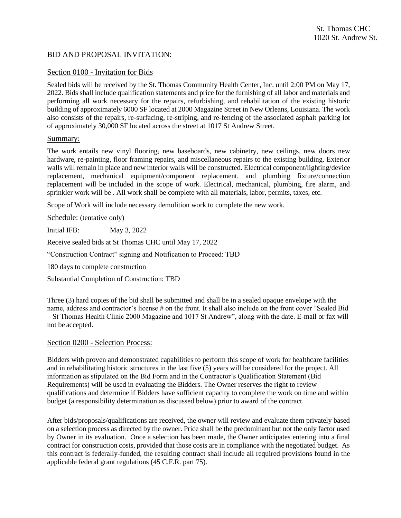# BID AND PROPOSAL INVITATION:

## Section 0100 - Invitation for Bids

Sealed bids will be received by the St. Thomas Community Health Center, Inc. until 2:00 PM on May 17, 2022. Bids shall include qualification statements and price for the furnishing of all labor and materials and performing all work necessary for the repairs, refurbishing, and rehabilitation of the existing historic building of approximately 6000 SF located at 2000 Magazine Street in New Orleans, Louisiana. The work also consists of the repairs, re-surfacing, re-striping, and re-fencing of the associated asphalt parking lot of approximately 30,000 SF located across the street at 1017 St Andrew Street.

## Summary:

The work entails new vinyl flooring, new baseboards, new cabinetry, new ceilings, new doors new hardware, re-painting, floor framing repairs, and miscellaneous repairs to the existing building. Exterior walls will remain in place and new interior walls will be constructed. Electrical component/lighting/device replacement, mechanical equipment/component replacement, and plumbing fixture/connection replacement will be included in the scope of work. Electrical, mechanical, plumbing, fire alarm, and sprinkler work will be . All work shall be complete with all materials, labor, permits, taxes, etc.

Scope of Work will include necessary demolition work to complete the new work.

Schedule: (tentative only)

Initial IFB: May 3, 2022

Receive sealed bids at St Thomas CHC until May 17, 2022

"Construction Contract" signing and Notification to Proceed: TBD

180 days to complete construction

Substantial Completion of Construction: TBD

Three (3) hard copies of the bid shall be submitted and shall be in a sealed opaque envelope with the name, address and contractor's license # on the front. It shall also include on the front cover "Sealed Bid – St Thomas Health Clinic 2000 Magazine and 1017 St Andrew", along with the date. E-mail or fax will not be accepted.

## Section 0200 - Selection Process:

Bidders with proven and demonstrated capabilities to perform this scope of work for healthcare facilities and in rehabilitating historic structures in the last five (5) years will be considered for the project. All information as stipulated on the Bid Form and in the Contractor's Qualification Statement (Bid Requirements) will be used in evaluating the Bidders. The Owner reserves the right to review qualifications and determine if Bidders have sufficient capacity to complete the work on time and within budget (a responsibility determination as discussed below) prior to award of the contract.

After bids/proposals/qualifications are received, the owner will review and evaluate them privately based on a selection process as directed by the owner. Price shall be the predominant but not the only factor used by Owner in its evaluation. Once a selection has been made, the Owner anticipates entering into a final contract for construction costs, provided that those costs are in compliance with the negotiated budget. As this contract is federally-funded, the resulting contract shall include all required provisions found in the applicable federal grant regulations (45 C.F.R. part 75).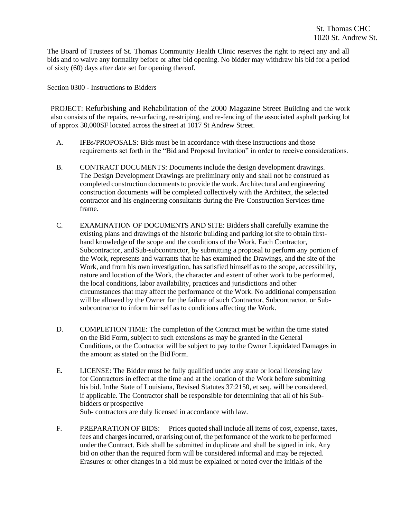The Board of Trustees of St. Thomas Community Health Clinic reserves the right to reject any and all bids and to waive any formality before or after bid opening. No bidder may withdraw his bid for a period of sixty (60) days after date set for opening thereof.

#### Section 0300 - Instructions to Bidders

PROJECT: Refurbishing and Rehabilitation of the 2000 Magazine Street Building and the work also consists of the repairs, re-surfacing, re-striping, and re-fencing of the associated asphalt parking lot of approx 30,000SF located across the street at 1017 St Andrew Street.

- A. IFBs/PROPOSALS: Bids must be in accordance with these instructions and those requirements set forth in the "Bid and Proposal Invitation" in order to receive considerations.
- B. CONTRACT DOCUMENTS: Documents include the design development drawings. The Design Development Drawings are preliminary only and shall not be construed as completed construction documents to provide the work. Architectural and engineering construction documents will be completed collectively with the Architect, the selected contractor and his engineering consultants during the Pre-Construction Services time frame.
- C. EXAMINATION OF DOCUMENTS AND SITE: Bidders shall carefully examine the existing plans and drawings of the historic building and parking lot site to obtain firsthand knowledge of the scope and the conditions of the Work. Each Contractor, Subcontractor, and Sub-subcontractor, by submitting a proposal to perform any portion of the Work, represents and warrants that he has examined the Drawings, and the site of the Work, and from his own investigation, has satisfied himself as to the scope, accessibility, nature and location of the Work, the character and extent of other work to be performed, the local conditions, labor availability, practices and jurisdictions and other circumstances that may affect the performance of the Work. No additional compensation will be allowed by the Owner for the failure of such Contractor, Subcontractor, or Subsubcontractor to inform himself as to conditions affecting the Work.
- D. COMPLETION TIME: The completion of the Contract must be within the time stated on the Bid Form, subject to such extensions as may be granted in the General Conditions, or the Contractor will be subject to pay to the Owner Liquidated Damages in the amount as stated on the Bid Form.
- E. LICENSE: The Bidder must be fully qualified under any state or local licensing law for Contractors in effect at the time and at the location of the Work before submitting his bid. Inthe State of Louisiana, Revised Statutes 37:2150, et seq. will be considered, if applicable. The Contractor shall be responsible for determining that all of his Subbidders or prospective

Sub- contractors are duly licensed in accordance with law.

F. PREPARATION OF BIDS: Prices quoted shall include all items of cost, expense, taxes, fees and charges incurred, or arising out of, the performance of the work to be performed under the Contract. Bids shall be submitted in duplicate and shall be signed in ink. Any bid on other than the required form will be considered informal and may be rejected. Erasures or other changes in a bid must be explained or noted over the initials of the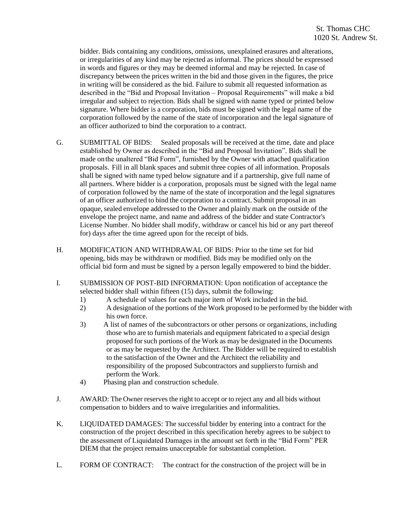bidder. Bids containing any conditions, omissions, unexplained erasures and alterations, or irregularities of any kind may be rejected as informal. The prices should be expressed in words and figures or they may be deemed informal and may be rejected. In case of discrepancy between the prices written in the bid and those given in the figures, the price in writing will be considered as the bid. Failure to submit all requested information as described in the "Bid and Proposal Invitation – Proposal Requirements" will make a bid irregular and subject to rejection. Bids shall be signed with name typed or printed below signature. Where bidder is a corporation, bids must be signed with the legal name of the corporation followed by the name of the state of incorporation and the legal signature of an officer authorized to bind the corporation to a contract.

- G. SUBMITTAL OF BIDS: Sealed proposals will be received at the time, date and place established by Owner as described in the "Bid and Proposal Invitation". Bids shall be made onthe unaltered "Bid Form", furnished by the Owner with attached qualification proposals. Fill in all blank spaces and submit three copies of all information. Proposals shall be signed with name typed below signature and if a partnership, give full name of all partners. Where bidder is a corporation, proposals must be signed with the legal name of corporation followed by the name of the state of incorporation and the legal signatures of an officer authorized to bind the corporation to a contract. Submit proposal in an opaque, sealed envelope addressed to the Owner and plainly mark on the outside of the envelope the project name, and name and address of the bidder and state Contractor's License Number. No bidder shall modify, withdraw or cancel his bid or any part thereof for) days after the time agreed upon for the receipt of bids.
- H. MODIFICATION AND WITHDRAWAL OF BIDS: Prior to the time set for bid opening, bids may be withdrawn or modified. Bids may be modified only on the official bid form and must be signed by a person legally empowered to bind the bidder.
- I. SUBMISSION OF POST-BID INFORMATION: Upon notification of acceptance the selected bidder shall within fifteen (15) days, submit the following:
	- 1) A schedule of values for each major item of Work included in the bid.
	- 2) A designation of the portions of the Work proposed to be performed by the bidder with his own force.
	- 3) A list of names of the subcontractors or other persons or organizations, including those who are to furnish materials and equipment fabricated to a special design proposed for such portions of the Work as may be designated in the Documents or as may be requested by the Architect. The Bidder will be required to establish to the satisfaction of the Owner and the Architect the reliability and responsibility of the proposed Subcontractors and suppliersto furnish and perform the Work.
	- 4) Phasing plan and construction schedule.
- J. AWARD: The Owner reserves the right to accept or to reject any and all bids without compensation to bidders and to waive irregularities and informalities.
- K. LIQUIDATED DAMAGES: The successful bidder by entering into a contract for the construction of the project described in this specification hereby agrees to be subject to the assessment of Liquidated Damages in the amount set forth in the "Bid Form" PER DIEM that the project remains unacceptable for substantial completion.
- L. FORM OF CONTRACT: The contract for the construction of the project will be in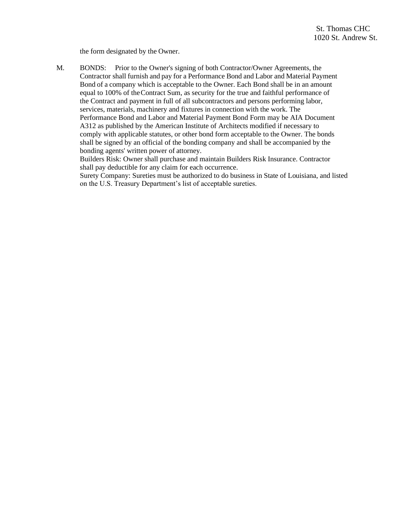the form designated by the Owner.

M. BONDS: Prior to the Owner's signing of both Contractor/Owner Agreements, the Contractor shall furnish and pay for a Performance Bond and Labor and Material Payment Bond of a company which is acceptable to the Owner. Each Bond shall be in an amount equal to 100% of theContract Sum, as security for the true and faithful performance of the Contract and payment in full of all subcontractors and persons performing labor, services, materials, machinery and fixtures in connection with the work. The Performance Bond and Labor and Material Payment Bond Form may be AIA Document A312 as published by the American Institute of Architects modified if necessary to comply with applicable statutes, or other bond form acceptable to the Owner. The bonds shall be signed by an official of the bonding company and shall be accompanied by the bonding agents' written power of attorney.

Builders Risk: Owner shall purchase and maintain Builders Risk Insurance. Contractor shall pay deductible for any claim for each occurrence.

Surety Company: Sureties must be authorized to do business in State of Louisiana, and listed on the U.S. Treasury Department's list of acceptable sureties.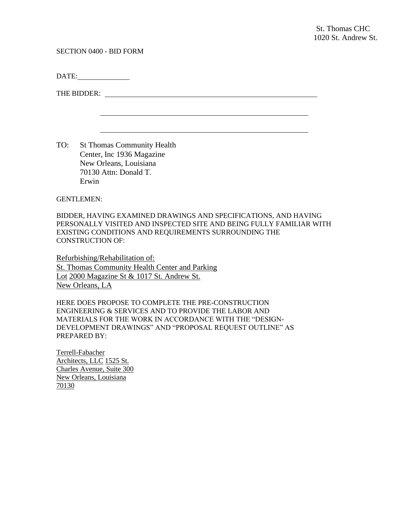SECTION 0400 - BID FORM

DATE:

THE BIDDER:

TO: St Thomas Community Health Center, Inc 1936 Magazine New Orleans, Louisiana 70130 Attn: Donald T. Erwin

GENTLEMEN:

BIDDER, HAVING EXAMINED DRAWINGS AND SPECIFICATIONS, AND HAVING PERSONALLY VISITED AND INSPECTED SITE AND BEING FULLY FAMILIAR WITH EXISTING CONDITIONS AND REQUIREMENTS SURROUNDING THE CONSTRUCTION OF:

Refurbishing/Rehabilitation of: St. Thomas Community Health Center and Parking Lot 2000 Magazine St & 1017 St. Andrew St. New Orleans, LA

HERE DOES PROPOSE TO COMPLETE THE PRE-CONSTRUCTION ENGINEERING & SERVICES AND TO PROVIDE THE LABOR AND MATERIALS FOR THE WORK IN ACCORDANCE WITH THE "DESIGN-DEVELOPMENT DRAWINGS" AND "PROPOSAL REQUEST OUTLINE" AS PREPARED BY:

Terrell-Fabacher Architects, LLC 1525 St. Charles Avenue, Suite 300 New Orleans, Louisiana 70130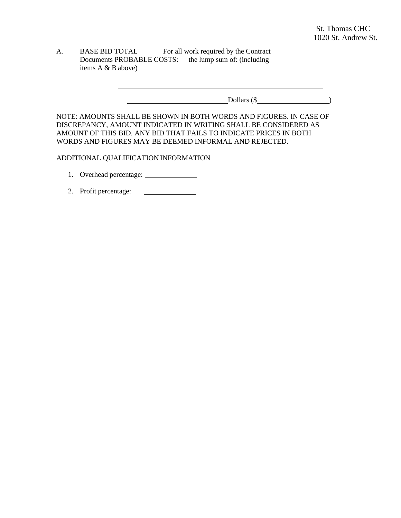A. BASE BID TOTAL For all work required by the Contract Documents PROBABLE COSTS: the lump sum of: (including items A & B above)

**Dollars (\$** )

<u> 1989 - Johann Barbara, martxa alemaniar amerikan basar da a</u>

NOTE: AMOUNTS SHALL BE SHOWN IN BOTH WORDS AND FIGURES. IN CASE OF DISCREPANCY, AMOUNT INDICATED IN WRITING SHALL BE CONSIDERED AS AMOUNT OF THIS BID. ANY BID THAT FAILS TO INDICATE PRICES IN BOTH WORDS AND FIGURES MAY BE DEEMED INFORMAL AND REJECTED.

#### ADDITIONAL QUALIFICATION INFORMATION

- 1. Overhead percentage:
- 2. Profit percentage: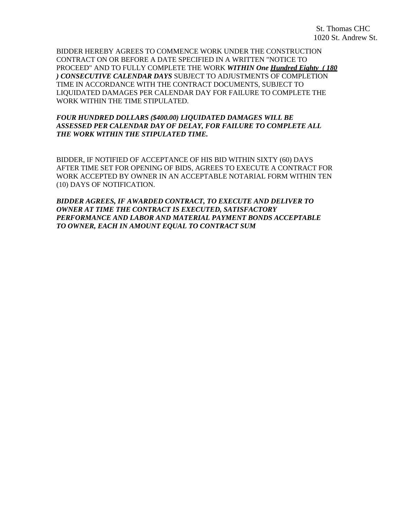BIDDER HEREBY AGREES TO COMMENCE WORK UNDER THE CONSTRUCTION CONTRACT ON OR BEFORE A DATE SPECIFIED IN A WRITTEN "NOTICE TO PROCEED" AND TO FULLY COMPLETE THE WORK *WITHIN One Hundred Eighty ( 180 ) CONSECUTIVE CALENDAR DAYS* SUBJECT TO ADJUSTMENTS OF COMPLETION TIME IN ACCORDANCE WITH THE CONTRACT DOCUMENTS, SUBJECT TO LIQUIDATED DAMAGES PER CALENDAR DAY FOR FAILURE TO COMPLETE THE WORK WITHIN THE TIME STIPULATED.

## *FOUR HUNDRED DOLLARS (\$400.00) LIQUIDATED DAMAGES WILL BE ASSESSED PER CALENDAR DAY OF DELAY, FOR FAILURE TO COMPLETE ALL THE WORK WITHIN THE STIPULATED TIME.*

BIDDER, IF NOTIFIED OF ACCEPTANCE OF HIS BID WITHIN SIXTY (60) DAYS AFTER TIME SET FOR OPENING OF BIDS, AGREES TO EXECUTE A CONTRACT FOR WORK ACCEPTED BY OWNER IN AN ACCEPTABLE NOTARIAL FORM WITHIN TEN (10) DAYS OF NOTIFICATION.

*BIDDER AGREES, IF AWARDED CONTRACT, TO EXECUTE AND DELIVER TO OWNER AT TIME THE CONTRACT IS EXECUTED, SATISFACTORY PERFORMANCE AND LABOR AND MATERIAL PAYMENT BONDS ACCEPTABLE TO OWNER, EACH IN AMOUNT EQUAL TO CONTRACT SUM*